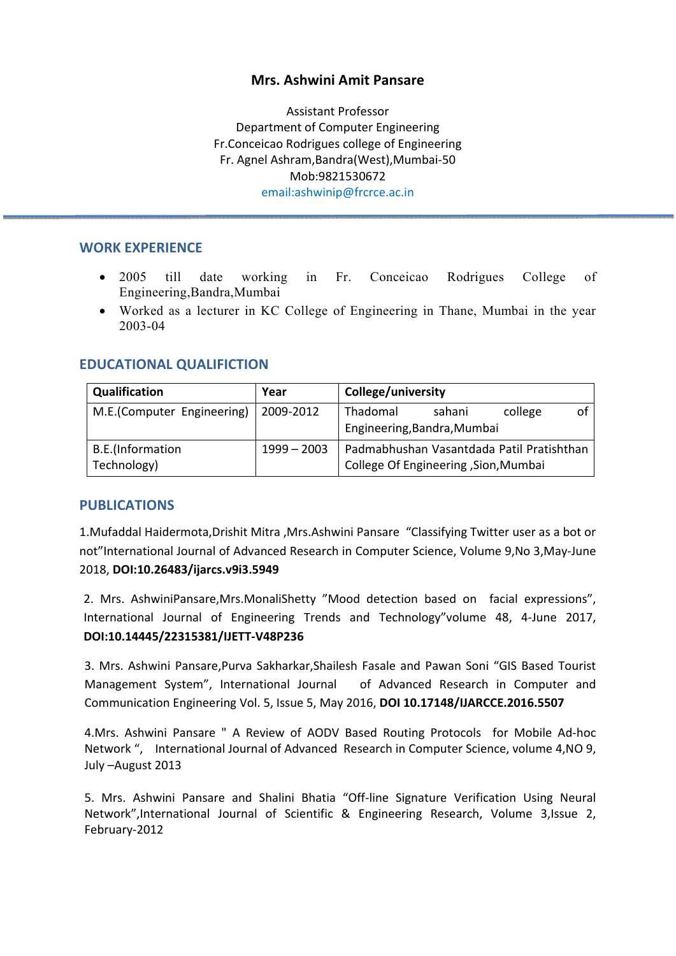## **Mrs. Ashwini Amit Pansare**

Assistant Professor Department of Computer Engineering Fr.Conceicao Rodrigues college of Engineering Fr. Agnel Ashram,Bandra(West),Mumbai‐50 Mob:9821530672 email:ashwinip@frcrce.ac.in

#### **WORK EXPERIENCE**

- 2005 till date working in Fr. Conceicao Rodrigues College of Engineering,Bandra,Mumbai
- Worked as a lecturer in KC College of Engineering in Thane, Mumbai in the year 2003-04

## **EDUCATIONAL QUALIFICTION**

| Qualification              | Year          | <b>College/university</b>                 |
|----------------------------|---------------|-------------------------------------------|
| M.E.(Computer Engineering) | 2009-2012     | Thadomal<br>college<br>sahani             |
|                            |               | Engineering, Bandra, Mumbai               |
| B.E.(Information           | $1999 - 2003$ | Padmabhushan Vasantdada Patil Pratishthan |
| Technology)                |               | College Of Engineering , Sion, Mumbai     |

#### **PUBLICATIONS**

1.Mufaddal Haidermota,Drishit Mitra ,Mrs.Ashwini Pansare "Classifying Twitter user as a bot or not"International Journal of Advanced Research in Computer Science, Volume 9,No 3,May‐June 2018, **DOI:10.26483/ijarcs.v9i3.5949** 

2. Mrs. AshwiniPansare,Mrs.MonaliShetty "Mood detection based on facial expressions", International Journal of Engineering Trends and Technology"volume 48, 4‐June 2017, **DOI:10.14445/22315381/IJETT‐V48P236** 

3. Mrs. Ashwini Pansare,Purva Sakharkar,Shailesh Fasale and Pawan Soni "GIS Based Tourist Management System", International Journal of Advanced Research in Computer and Communication Engineering Vol. 5, Issue 5, May 2016, **DOI 10.17148/IJARCCE.2016.5507** 

4.Mrs. Ashwini Pansare " A Review of AODV Based Routing Protocols for Mobile Ad‐hoc Network ", International Journal of Advanced Research in Computer Science, volume 4, NO 9, July –August 2013

5. Mrs. Ashwini Pansare and Shalini Bhatia "Off‐line Signature Verification Using Neural Network",International Journal of Scientific & Engineering Research, Volume 3,Issue 2, February‐2012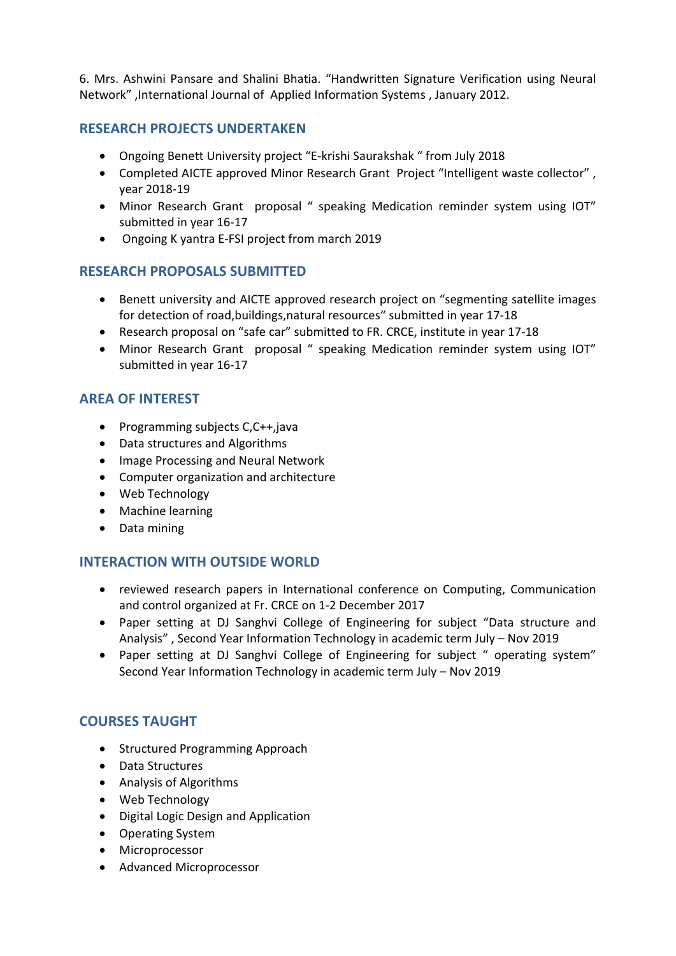6. Mrs. Ashwini Pansare and Shalini Bhatia. "Handwritten Signature Verification using Neural Network" ,International Journal of Applied Information Systems , January 2012.

## **RESEARCH PROJECTS UNDERTAKEN**

- Ongoing Benett University project "E‐krishi Saurakshak " from July 2018
- Completed AICTE approved Minor Research Grant Project "Intelligent waste collector" , year 2018‐19
- Minor Research Grant proposal " speaking Medication reminder system using IOT" submitted in year 16‐17
- Ongoing K yantra E-FSI project from march 2019

## **RESEARCH PROPOSALS SUBMITTED**

- Benett university and AICTE approved research project on "segmenting satellite images for detection of road,buildings,natural resources" submitted in year 17‐18
- Research proposal on "safe car" submitted to FR. CRCE, institute in year 17‐18
- Minor Research Grant proposal " speaking Medication reminder system using IOT" submitted in year 16‐17

## **AREA OF INTEREST**

- Programming subjects  $C, C++,$ java
- Data structures and Algorithms
- Image Processing and Neural Network
- Computer organization and architecture
- Web Technology
- Machine learning
- Data mining

#### **INTERACTION WITH OUTSIDE WORLD**

- reviewed research papers in International conference on Computing, Communication and control organized at Fr. CRCE on 1‐2 December 2017
- Paper setting at DJ Sanghvi College of Engineering for subject "Data structure and Analysis" , Second Year Information Technology in academic term July – Nov 2019
- Paper setting at DJ Sanghvi College of Engineering for subject " operating system" Second Year Information Technology in academic term July – Nov 2019

## **COURSES TAUGHT**

- Structured Programming Approach
- Data Structures
- Analysis of Algorithms
- Web Technology
- Digital Logic Design and Application
- Operating System
- Microprocessor
- Advanced Microprocessor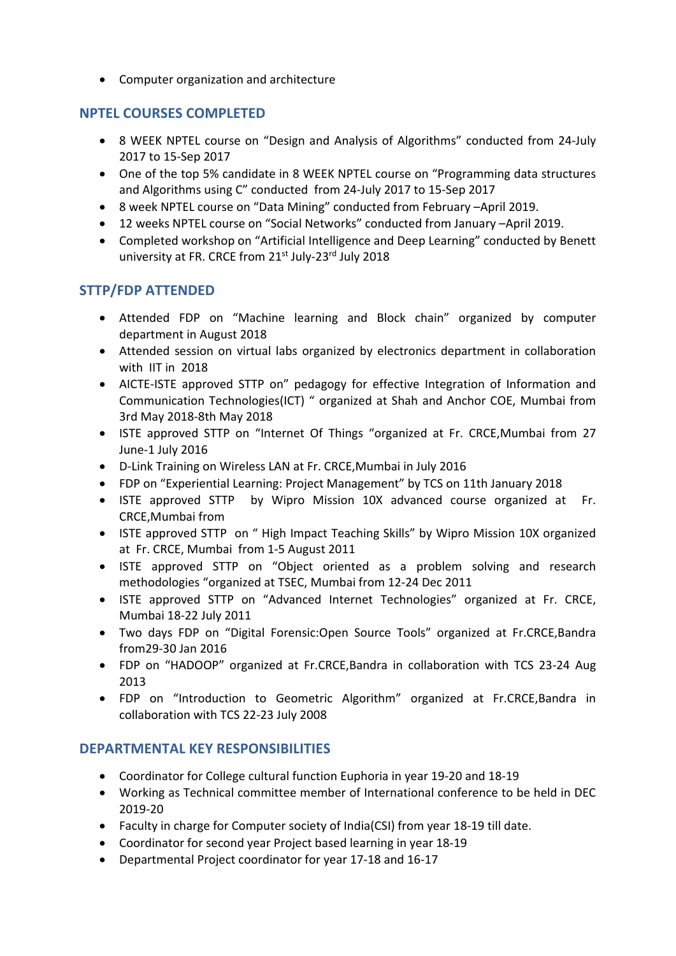Computer organization and architecture

## **NPTEL COURSES COMPLETED**

- 8 WEEK NPTEL course on "Design and Analysis of Algorithms" conducted from 24-July 2017 to 15‐Sep 2017
- One of the top 5% candidate in 8 WEEK NPTEL course on "Programming data structures and Algorithms using C" conducted from 24‐July 2017 to 15‐Sep 2017
- 8 week NPTEL course on "Data Mining" conducted from February –April 2019.
- 12 weeks NPTEL course on "Social Networks" conducted from January –April 2019.
- Completed workshop on "Artificial Intelligence and Deep Learning" conducted by Benett university at FR. CRCE from 21<sup>st</sup> July-23<sup>rd</sup> July 2018

## **STTP/FDP ATTENDED**

- Attended FDP on "Machine learning and Block chain" organized by computer department in August 2018
- Attended session on virtual labs organized by electronics department in collaboration with IIT in 2018
- AICTE-ISTE approved STTP on" pedagogy for effective Integration of Information and Communication Technologies(ICT) " organized at Shah and Anchor COE, Mumbai from 3rd May 2018‐8th May 2018
- ISTE approved STTP on "Internet Of Things "organized at Fr. CRCE,Mumbai from 27 June‐1 July 2016
- D‐Link Training on Wireless LAN at Fr. CRCE,Mumbai in July 2016
- FDP on "Experiential Learning: Project Management" by TCS on 11th January 2018
- ISTE approved STTP by Wipro Mission 10X advanced course organized at Fr. CRCE,Mumbai from
- ISTE approved STTP on " High Impact Teaching Skills" by Wipro Mission 10X organized at Fr. CRCE, Mumbai from 1‐5 August 2011
- ISTE approved STTP on "Object oriented as a problem solving and research methodologies "organized at TSEC, Mumbai from 12‐24 Dec 2011
- ISTE approved STTP on "Advanced Internet Technologies" organized at Fr. CRCE, Mumbai 18‐22 July 2011
- Two days FDP on "Digital Forensic:Open Source Tools" organized at Fr.CRCE,Bandra from29‐30 Jan 2016
- FDP on "HADOOP" organized at Fr.CRCE,Bandra in collaboration with TCS 23‐24 Aug 2013
- FDP on "Introduction to Geometric Algorithm" organized at Fr.CRCE,Bandra in collaboration with TCS 22‐23 July 2008

## **DEPARTMENTAL KEY RESPONSIBILITIES**

- Coordinator for College cultural function Euphoria in year 19‐20 and 18‐19
- Working as Technical committee member of International conference to be held in DEC 2019‐20
- Faculty in charge for Computer society of India(CSI) from year 18‐19 till date.
- Coordinator for second year Project based learning in year 18‐19
- Departmental Project coordinator for year 17‐18 and 16‐17